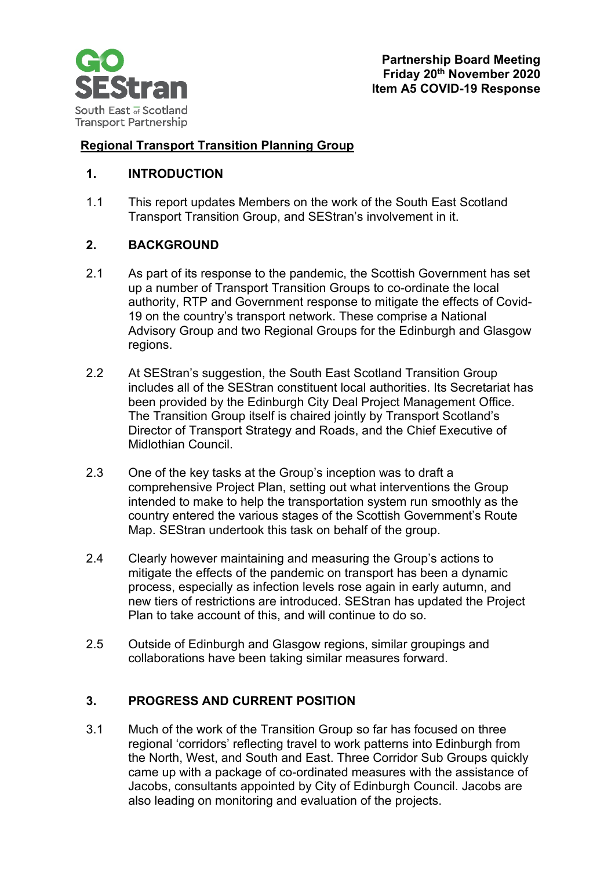

# **Regional Transport Transition Planning Group**

### **1. INTRODUCTION**

1.1 This report updates Members on the work of the South East Scotland Transport Transition Group, and SEStran's involvement in it.

### **2. BACKGROUND**

- 2.1 As part of its response to the pandemic, the Scottish Government has set up a number of Transport Transition Groups to co-ordinate the local authority, RTP and Government response to mitigate the effects of Covid-19 on the country's transport network. These comprise a National Advisory Group and two Regional Groups for the Edinburgh and Glasgow regions.
- 2.2 At SEStran's suggestion, the South East Scotland Transition Group includes all of the SEStran constituent local authorities. Its Secretariat has been provided by the Edinburgh City Deal Project Management Office. The Transition Group itself is chaired jointly by Transport Scotland's Director of Transport Strategy and Roads, and the Chief Executive of Midlothian Council.
- 2.3 One of the key tasks at the Group's inception was to draft a comprehensive Project Plan, setting out what interventions the Group intended to make to help the transportation system run smoothly as the country entered the various stages of the Scottish Government's Route Map. SEStran undertook this task on behalf of the group.
- 2.4 Clearly however maintaining and measuring the Group's actions to mitigate the effects of the pandemic on transport has been a dynamic process, especially as infection levels rose again in early autumn, and new tiers of restrictions are introduced. SEStran has updated the Project Plan to take account of this, and will continue to do so.
- 2.5 Outside of Edinburgh and Glasgow regions, similar groupings and collaborations have been taking similar measures forward.

#### **3. PROGRESS AND CURRENT POSITION**

3.1 Much of the work of the Transition Group so far has focused on three regional 'corridors' reflecting travel to work patterns into Edinburgh from the North, West, and South and East. Three Corridor Sub Groups quickly came up with a package of co-ordinated measures with the assistance of Jacobs, consultants appointed by City of Edinburgh Council. Jacobs are also leading on monitoring and evaluation of the projects.